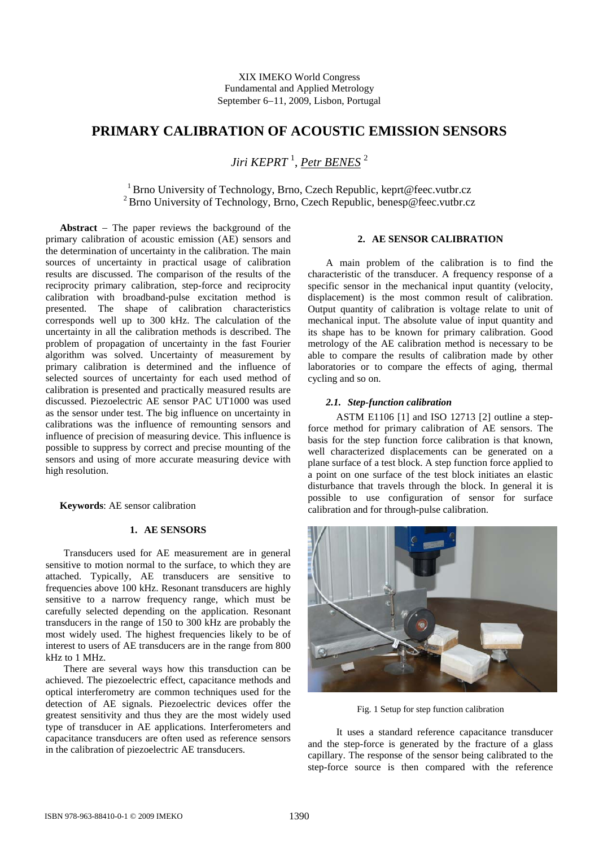XIX IMEKO World Congress Fundamental and Applied Metrology September 6−11, 2009, Lisbon, Portugal

# **PRIMARY CALIBRATION OF ACOUSTIC EMISSION SENSORS**

*Jiri KEPRT* <sup>1</sup> , *Petr BENES* <sup>2</sup>

1Brno University of Technology, Brno, Czech Republic, keprt@feec.vutbr.cz <sup>2</sup> Brno University of Technology, Brno, Czech Republic, benesp@feec.vutbr.cz

**Abstract** − The paper reviews the background of the primary calibration of acoustic emission (AE) sensors and the determination of uncertainty in the calibration. The main sources of uncertainty in practical usage of calibration results are discussed. The comparison of the results of the reciprocity primary calibration, step-force and reciprocity calibration with broadband-pulse excitation method is presented. The shape of calibration characteristics corresponds well up to 300 kHz. The calculation of the uncertainty in all the calibration methods is described. The problem of propagation of uncertainty in the fast Fourier algorithm was solved. Uncertainty of measurement by primary calibration is determined and the influence of selected sources of uncertainty for each used method of calibration is presented and practically measured results are discussed. Piezoelectric AE sensor PAC UT1000 was used as the sensor under test. The big influence on uncertainty in calibrations was the influence of remounting sensors and influence of precision of measuring device. This influence is possible to suppress by correct and precise mounting of the sensors and using of more accurate measuring device with high resolution.

**Keywords**: AE sensor calibration

# **1. AE SENSORS**

Transducers used for AE measurement are in general sensitive to motion normal to the surface, to which they are attached. Typically, AE transducers are sensitive to frequencies above 100 kHz. Resonant transducers are highly sensitive to a narrow frequency range, which must be carefully selected depending on the application. Resonant transducers in the range of 150 to 300 kHz are probably the most widely used. The highest frequencies likely to be of interest to users of AE transducers are in the range from 800 kHz to 1 MHz.

There are several ways how this transduction can be achieved. The piezoelectric effect, capacitance methods and optical interferometry are common techniques used for the detection of AE signals. Piezoelectric devices offer the greatest sensitivity and thus they are the most widely used type of transducer in AE applications. Interferometers and capacitance transducers are often used as reference sensors in the calibration of piezoelectric AE transducers.

### **2. AE SENSOR CALIBRATION**

A main problem of the calibration is to find the characteristic of the transducer. A frequency response of a specific sensor in the mechanical input quantity (velocity, displacement) is the most common result of calibration. Output quantity of calibration is voltage relate to unit of mechanical input. The absolute value of input quantity and its shape has to be known for primary calibration. Good metrology of the AE calibration method is necessary to be able to compare the results of calibration made by other laboratories or to compare the effects of aging, thermal cycling and so on.

# *2.1. Step-function calibration*

ASTM E1106 [1] and ISO 12713 [2] outline a stepforce method for primary calibration of AE sensors. The basis for the step function force calibration is that known, well characterized displacements can be generated on a plane surface of a test block. A step function force applied to a point on one surface of the test block initiates an elastic disturbance that travels through the block. In general it is possible to use configuration of sensor for surface calibration and for through-pulse calibration.



Fig. 1 Setup for step function calibration

It uses a standard reference capacitance transducer and the step-force is generated by the fracture of a glass capillary. The response of the sensor being calibrated to the step-force source is then compared with the reference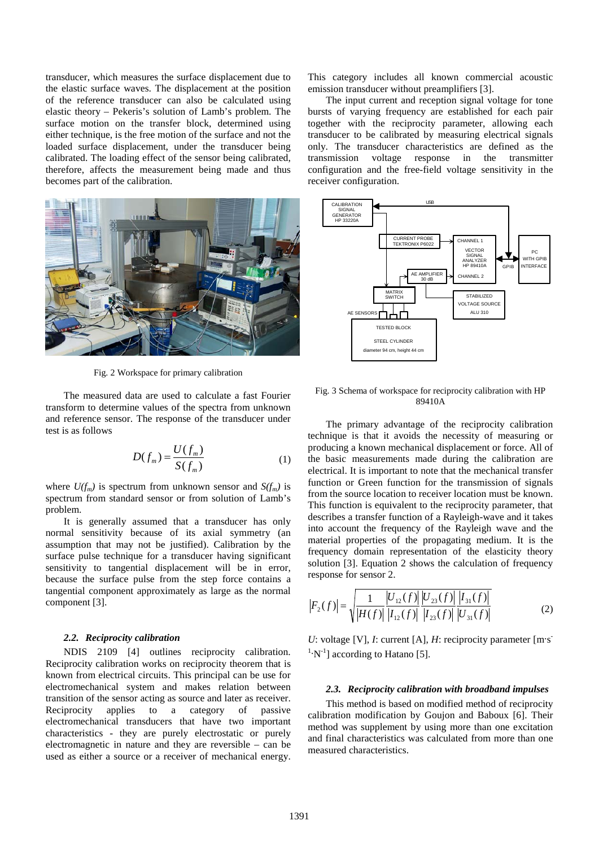transducer, which measures the surface displacement due to the elastic surface waves. The displacement at the position of the reference transducer can also be calculated using elastic theory – Pekeris's solution of Lamb's problem. The surface motion on the transfer block, determined using either technique, is the free motion of the surface and not the loaded surface displacement, under the transducer being calibrated. The loading effect of the sensor being calibrated, therefore, affects the measurement being made and thus becomes part of the calibration.



Fig. 2 Workspace for primary calibration

The measured data are used to calculate a fast Fourier transform to determine values of the spectra from unknown and reference sensor. The response of the transducer under test is as follows

$$
D(f_m) = \frac{U(f_m)}{S(f_m)}
$$
 (1)

where  $U(f_m)$  is spectrum from unknown sensor and  $S(f_m)$  is spectrum from standard sensor or from solution of Lamb's problem.

It is generally assumed that a transducer has only normal sensitivity because of its axial symmetry (an assumption that may not be justified). Calibration by the surface pulse technique for a transducer having significant sensitivity to tangential displacement will be in error, because the surface pulse from the step force contains a tangential component approximately as large as the normal component [3].

## *2.2. Reciprocity calibration*

NDIS 2109 [4] outlines reciprocity calibration. Reciprocity calibration works on reciprocity theorem that is known from electrical circuits. This principal can be use for electromechanical system and makes relation between transition of the sensor acting as source and later as receiver. Reciprocity applies to a category of passive electromechanical transducers that have two important characteristics - they are purely electrostatic or purely electromagnetic in nature and they are reversible – can be used as either a source or a receiver of mechanical energy.

This category includes all known commercial acoustic emission transducer without preamplifiers [3].

The input current and reception signal voltage for tone bursts of varying frequency are established for each pair together with the reciprocity parameter, allowing each transducer to be calibrated by measuring electrical signals only. The transducer characteristics are defined as the transmission voltage response in the transmitter configuration and the free-field voltage sensitivity in the receiver configuration.



Fig. 3 Schema of workspace for reciprocity calibration with HP 89410A

The primary advantage of the reciprocity calibration technique is that it avoids the necessity of measuring or producing a known mechanical displacement or force. All of the basic measurements made during the calibration are electrical. It is important to note that the mechanical transfer function or Green function for the transmission of signals from the source location to receiver location must be known. This function is equivalent to the reciprocity parameter, that describes a transfer function of a Rayleigh-wave and it takes into account the frequency of the Rayleigh wave and the material properties of the propagating medium. It is the frequency domain representation of the elasticity theory solution [3]. Equation 2 shows the calculation of frequency response for sensor 2.

$$
\left|F_2(f)\right| = \sqrt{\frac{1}{\left|H(f)\right|} \frac{\left|U_{12}(f)\right| \left|U_{23}(f)\right|}{\left|I_{12}(f)\right| \left|I_{23}(f)\right|} \frac{\left|I_{31}(f)\right|}{\left|U_{31}(f)\right|}}\tag{2}
$$

*U*: voltage [V], *I*: current [A], *H*: reciprocity parameter [m·s]  $\binom{1}{1}$  according to Hatano [5].

#### *2.3. Reciprocity calibration with broadband impulses*

This method is based on modified method of reciprocity calibration modification by Goujon and Baboux [6]. Their method was supplement by using more than one excitation and final characteristics was calculated from more than one measured characteristics.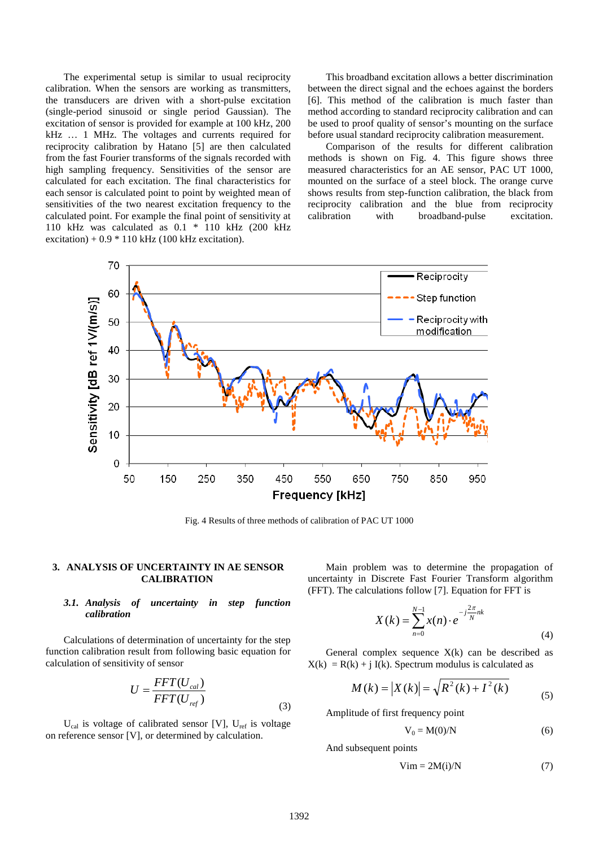The experimental setup is similar to usual reciprocity calibration. When the sensors are working as transmitters, the transducers are driven with a short-pulse excitation (single-period sinusoid or single period Gaussian). The excitation of sensor is provided for example at 100 kHz, 200 kHz … 1 MHz. The voltages and currents required for reciprocity calibration by Hatano [5] are then calculated from the fast Fourier transforms of the signals recorded with high sampling frequency. Sensitivities of the sensor are calculated for each excitation. The final characteristics for each sensor is calculated point to point by weighted mean of sensitivities of the two nearest excitation frequency to the calculated point. For example the final point of sensitivity at 110 kHz was calculated as 0.1 \* 110 kHz (200 kHz excitation) +  $0.9 * 110$  kHz (100 kHz excitation).

This broadband excitation allows a better discrimination between the direct signal and the echoes against the borders [6]. This method of the calibration is much faster than method according to standard reciprocity calibration and can be used to proof quality of sensor's mounting on the surface before usual standard reciprocity calibration measurement.

Comparison of the results for different calibration methods is shown on Fig. 4. This figure shows three measured characteristics for an AE sensor, PAC UT 1000, mounted on the surface of a steel block. The orange curve shows results from step-function calibration, the black from reciprocity calibration and the blue from reciprocity calibration with broadband-pulse excitation.



Fig. 4 Results of three methods of calibration of PAC UT 1000

#### **3. ANALYSIS OF UNCERTAINTY IN AE SENSOR CALIBRATION**

### *3.1. Analysis of uncertainty in step function calibration*

Calculations of determination of uncertainty for the step function calibration result from following basic equation for calculation of sensitivity of sensor

$$
U = \frac{FFT(U_{cal})}{FFT(U_{ref})}
$$
\n(3)

 $U_{\text{cal}}$  is voltage of calibrated sensor [V],  $U_{\text{ref}}$  is voltage on reference sensor [V], or determined by calculation.

Main problem was to determine the propagation of uncertainty in Discrete Fast Fourier Transform algorithm (FFT). The calculations follow [7]. Equation for FFT is

$$
X(k) = \sum_{n=0}^{N-1} x(n) \cdot e^{-j\frac{2\pi}{N}nk}
$$
\n(4)

General complex sequence  $X(k)$  can be described as  $X(k) = R(k) + j I(k)$ . Spectrum modulus is calculated as

$$
M(k) = |X(k)| = \sqrt{R^{2}(k) + I^{2}(k)}
$$
\n(5)

Amplitude of first frequency point

$$
V_0 = M(0)/N \tag{6}
$$

And subsequent points

$$
Vim = 2M(i)/N \tag{7}
$$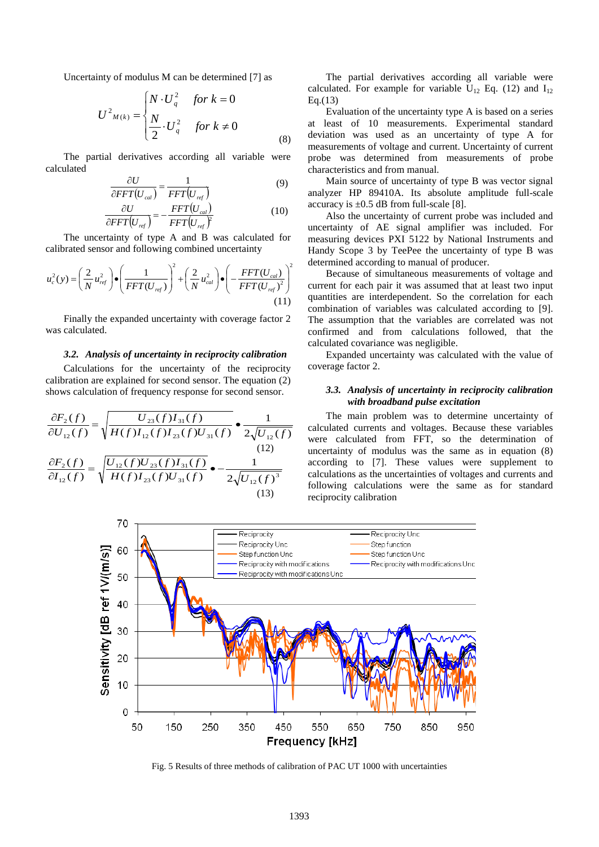Uncertainty of modulus M can be determined [7] as

$$
U^{2}{}_{M(k)} = \begin{cases} N \cdot U_{q}^{2} & \text{for } k = 0\\ \frac{N}{2} \cdot U_{q}^{2} & \text{for } k \neq 0 \end{cases}
$$
 (8)

The partial derivatives according all variable were calculated

$$
\frac{\partial U}{\partial FFT(U_{cal})} = \frac{1}{FFT(U_{ref})}
$$
(9)

$$
\frac{\partial U}{\partial FFT(U_{ref})} = -\frac{FFT(U_{cal})}{FFT(U_{ref})^2}
$$
(10)

The uncertainty of type A and B was calculated for calibrated sensor and following combined uncertainty

$$
u_c^2(y) = \left(\frac{2}{N}u_{ref}^2\right) \cdot \left(\frac{1}{FFT(U_{ref})}\right)^2 + \left(\frac{2}{N}u_{cal}^2\right) \cdot \left(-\frac{FFT(U_{cal})}{FFT(U_{ref})^2}\right)^2
$$
\n(11)

Finally the expanded uncertainty with coverage factor 2 was calculated.

#### *3.2. Analysis of uncertainty in reciprocity calibration*

Calculations for the uncertainty of the reciprocity calibration are explained for second sensor. The equation (2) shows calculation of frequency response for second sensor.

$$
\frac{\partial F_2(f)}{\partial U_{12}(f)} = \sqrt{\frac{U_{23}(f)I_{31}(f)}{H(f)I_{12}(f)I_{23}(f)U_{31}(f)}} \bullet \frac{1}{2\sqrt{U_{12}(f)U_{23}(f)U_{31}(f)U_{31}(f)U_{31}(f)U_{31}(f)U_{31}(f)U_{31}(f)U_{31}(f)U_{31}(f)U_{31}(f)U_{31}(f)U_{31}(f)U_{31}(f)U_{31}(f)U_{31}(f)U_{31}(f)U_{31}(f)U_{31}(f)}
$$
\n(13)

The partial derivatives according all variable were calculated. For example for variable  $U_{12}$  Eq. (12) and  $I_{12}$ Eq.(13)

Evaluation of the uncertainty type A is based on a series at least of 10 measurements. Experimental standard deviation was used as an uncertainty of type A for measurements of voltage and current. Uncertainty of current probe was determined from measurements of probe characteristics and from manual.

Main source of uncertainty of type B was vector signal analyzer HP 89410A. Its absolute amplitude full-scale accuracy is  $\pm 0.5$  dB from full-scale [8].

Also the uncertainty of current probe was included and uncertainty of AE signal amplifier was included. For measuring devices PXI 5122 by National Instruments and Handy Scope 3 by TeePee the uncertainty of type B was determined according to manual of producer.

Because of simultaneous measurements of voltage and current for each pair it was assumed that at least two input quantities are interdependent. So the correlation for each combination of variables was calculated according to [9]. The assumption that the variables are correlated was not confirmed and from calculations followed, that the calculated covariance was negligible.

Expanded uncertainty was calculated with the value of coverage factor 2.

### *3.3. Analysis of uncertainty in reciprocity calibration with broadband pulse excitation*

The main problem was to determine uncertainty of calculated currents and voltages. Because these variables were calculated from FFT, so the determination of uncertainty of modulus was the same as in equation (8) according to [7]. These values were supplement to calculations as the uncertainties of voltages and currents and following calculations were the same as for standard reciprocity calibration



Fig. 5 Results of three methods of calibration of PAC UT 1000 with uncertainties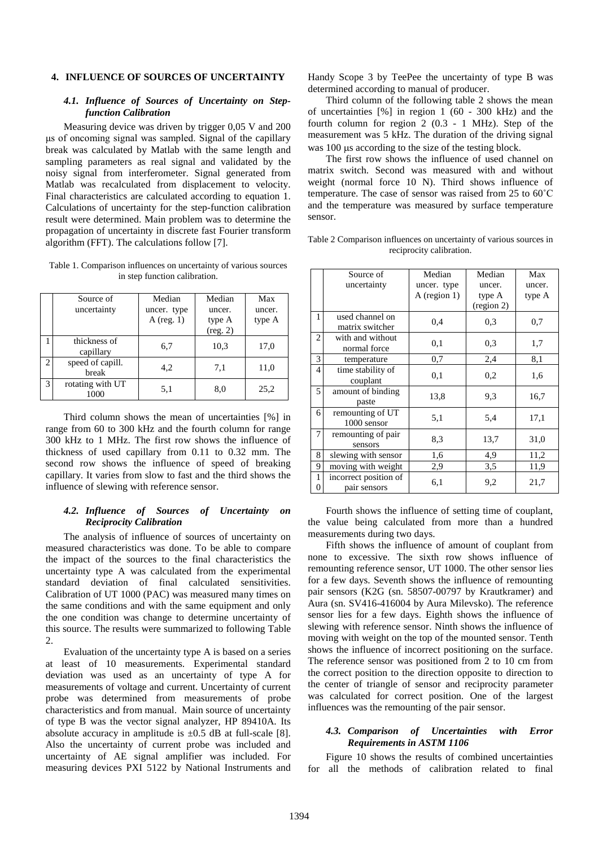### **4. INFLUENCE OF SOURCES OF UNCERTAINTY**

#### *4.1. Influence of Sources of Uncertainty on Stepfunction Calibration*

Measuring device was driven by trigger 0,05 V and 200 μs of oncoming signal was sampled. Signal of the capillary break was calculated by Matlab with the same length and sampling parameters as real signal and validated by the noisy signal from interferometer. Signal generated from Matlab was recalculated from displacement to velocity. Final characteristics are calculated according to equation 1. Calculations of uncertainty for the step-function calibration result were determined. Main problem was to determine the propagation of uncertainty in discrete fast Fourier transform algorithm (FFT). The calculations follow [7].

Table 1. Comparison influences on uncertainty of various sources in step function calibration.

|                | Source of<br>uncertainty  | Median<br>uncer. type<br>A (reg. $1$ ) | Median<br>uncer.<br>type A<br>(reg. 2) | Max<br>uncer.<br>type A |
|----------------|---------------------------|----------------------------------------|----------------------------------------|-------------------------|
|                | thickness of<br>capillary | 6,7                                    | 10,3                                   | 17,0                    |
| $\overline{c}$ | speed of capill.<br>break | 4,2                                    | 7,1                                    | 11,0                    |
| 3              | rotating with UT<br>1000  | 5,1                                    | 8,0                                    | 25,2                    |

Third column shows the mean of uncertainties [%] in range from 60 to 300 kHz and the fourth column for range 300 kHz to 1 MHz. The first row shows the influence of thickness of used capillary from 0.11 to 0.32 mm. The second row shows the influence of speed of breaking capillary. It varies from slow to fast and the third shows the influence of slewing with reference sensor.

### *4.2. Influence of Sources of Uncertainty on Reciprocity Calibration*

The analysis of influence of sources of uncertainty on measured characteristics was done. To be able to compare the impact of the sources to the final characteristics the uncertainty type A was calculated from the experimental standard deviation of final calculated sensitivities. Calibration of UT 1000 (PAC) was measured many times on the same conditions and with the same equipment and only the one condition was change to determine uncertainty of this source. The results were summarized to following Table 2.

Evaluation of the uncertainty type A is based on a series at least of 10 measurements. Experimental standard deviation was used as an uncertainty of type A for measurements of voltage and current. Uncertainty of current probe was determined from measurements of probe characteristics and from manual. Main source of uncertainty of type B was the vector signal analyzer, HP 89410A. Its absolute accuracy in amplitude is  $\pm 0.5$  dB at full-scale [8]. Also the uncertainty of current probe was included and uncertainty of AE signal amplifier was included. For measuring devices PXI 5122 by National Instruments and Handy Scope 3 by TeePee the uncertainty of type B was determined according to manual of producer.

Third column of the following table 2 shows the mean of uncertainties [%] in region 1 (60 - 300 kHz) and the fourth column for region 2 (0.3 - 1 MHz). Step of the measurement was 5 kHz. The duration of the driving signal was 100  $\mu$ s according to the size of the testing block.

The first row shows the influence of used channel on matrix switch. Second was measured with and without weight (normal force 10 N). Third shows influence of temperature. The case of sensor was raised from 25 to 60˚C and the temperature was measured by surface temperature sensor.

Table 2 Comparison influences on uncertainty of various sources in reciprocity calibration.

|        | Source of<br>uncertainty              | Median<br>uncer. type<br>$A$ (region 1) | Median<br>uncer.<br>type A<br>(region 2) | Max<br>uncer.<br>type A |
|--------|---------------------------------------|-----------------------------------------|------------------------------------------|-------------------------|
| 1      | used channel on<br>matrix switcher    | 0,4                                     | 0,3                                      | 0,7                     |
| 2      | with and without<br>normal force      | 0.1                                     | 0,3                                      | 1,7                     |
| 3      | temperature                           | 0,7                                     | 2,4                                      | 8,1                     |
| 4      | time stability of<br>couplant         | 0,1                                     | 0,2                                      | 1,6                     |
| 5      | amount of binding<br>paste            | 13,8                                    | 9,3                                      | 16,7                    |
| 6      | remounting of UT<br>1000 sensor       | 5,1                                     | 5,4                                      | 17,1                    |
| 7      | remounting of pair<br>sensors         | 8,3                                     | 13,7                                     | 31,0                    |
| 8      | slewing with sensor                   | 1,6                                     | 4,9                                      | 11,2                    |
| 9      | moving with weight                    | 2,9                                     | 3,5                                      | 11,9                    |
| 1<br>0 | incorrect position of<br>pair sensors | 6,1                                     | 9,2                                      | 21,7                    |

Fourth shows the influence of setting time of couplant, the value being calculated from more than a hundred measurements during two days.

Fifth shows the influence of amount of couplant from none to excessive. The sixth row shows influence of remounting reference sensor, UT 1000. The other sensor lies for a few days. Seventh shows the influence of remounting pair sensors (K2G (sn. 58507-00797 by Krautkramer) and Aura (sn. SV416-416004 by Aura Milevsko). The reference sensor lies for a few days. Eighth shows the influence of slewing with reference sensor. Ninth shows the influence of moving with weight on the top of the mounted sensor. Tenth shows the influence of incorrect positioning on the surface. The reference sensor was positioned from 2 to 10 cm from the correct position to the direction opposite to direction to the center of triangle of sensor and reciprocity parameter was calculated for correct position. One of the largest influences was the remounting of the pair sensor.

#### *4.3. Comparison of Uncertainties with Error Requirements in ASTM 1106*

Figure 10 shows the results of combined uncertainties for all the methods of calibration related to final